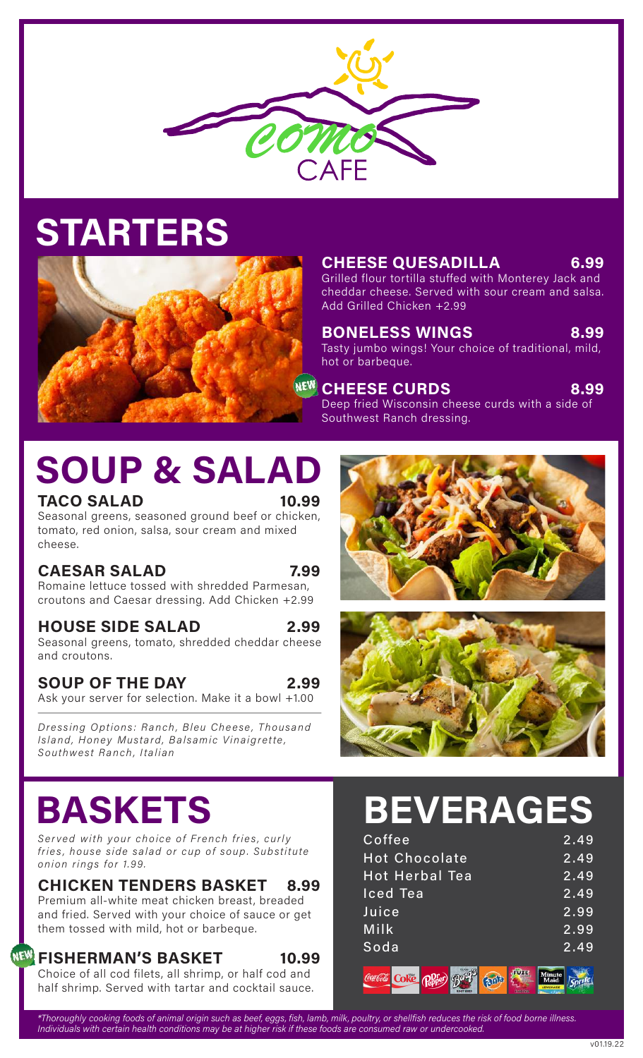

### STARTERS



CHEESE QUESADILLA 6.99

Grilled flour tortilla stuffed with Monterey Jack and cheddar cheese. Served with sour cream and salsa. Add Grilled Chicken +2.99

BONELESS WINGS 8.99 Tasty jumbo wings! Your choice of traditional, mild, hot or barbeque.

CHEESE CURDS 8.99 Deep fried Wisconsin cheese curds with a side of Southwest Ranch dressing.

## SOUP & SALAD

#### TACO SALAD 10.99

Seasonal greens, seasoned ground beef or chicken, tomato, red onion, salsa, sour cream and mixed cheese.

### CAESAR SALAD 7.99

Romaine lettuce tossed with shredded Parmesan, croutons and Caesar dressing. Add Chicken +2.99

#### HOUSE SIDE SALAD 2.99

Seasonal greens, tomato, shredded cheddar cheese and croutons.

#### SOUP OF THE DAY 2.99

Ask your server for selection. Make it a bowl +1.00

Dressing Options: Ranch, Bleu Cheese, Thousand Island, Honey Mustard, Balsamic Vinaigrette, Southwest Ranch, Italian





### BASKETS

Served with your choice of French fries, curly fries, house side salad or cup of soup. Substitute onion rings for 1.99.

### CHICKEN TENDERS BASKET 8.99

Premium all-white meat chicken breast, breaded and fried. Served with your choice of sauce or get them tossed with mild, hot or barbeque.

#### FISHERMAN'S BASKET 10.99

**NEW** 

Choice of all cod filets, all shrimp, or half cod and half shrimp. Served with tartar and cocktail sauce.

### BEVERAGES

| Coffee                | 2.49 |
|-----------------------|------|
| <b>Hot Chocolate</b>  | 2.49 |
| <b>Hot Herbal Tea</b> | 2.49 |
| <b>Iced Tea</b>       | 2.49 |
| Juice                 | 2.99 |
| Milk                  | 2.99 |
| Soda                  | 2.49 |
| tarer .pra            |      |

包面

\*Thoroughly cooking foods of animal origin such as beef, eggs, fish, lamb, milk, poultry, or shellfish reduces the risk of food borne illness. Individuals with certain health conditions may be at higher risk if these foods are consumed raw or undercooked.

Sprite